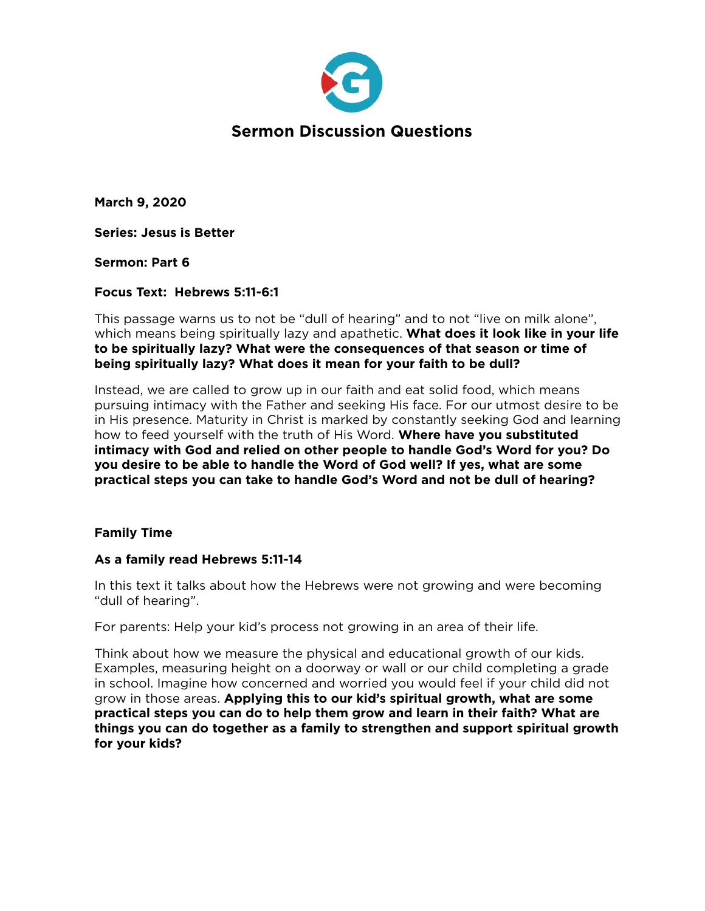

**March 9, 2020** 

**Series: Jesus is Better** 

**Sermon: Part 6** 

# **Focus Text: Hebrews 5:11-6:1**

This passage warns us to not be "dull of hearing" and to not "live on milk alone", which means being spiritually lazy and apathetic. **What does it look like in your life to be spiritually lazy? What were the consequences of that season or time of being spiritually lazy? What does it mean for your faith to be dull?**

Instead, we are called to grow up in our faith and eat solid food, which means pursuing intimacy with the Father and seeking His face. For our utmost desire to be in His presence. Maturity in Christ is marked by constantly seeking God and learning how to feed yourself with the truth of His Word. **Where have you substituted intimacy with God and relied on other people to handle God's Word for you? Do you desire to be able to handle the Word of God well? If yes, what are some practical steps you can take to handle God's Word and not be dull of hearing?** 

### **Family Time**

# **As a family read Hebrews 5:11-14**

In this text it talks about how the Hebrews were not growing and were becoming "dull of hearing".

For parents: Help your kid's process not growing in an area of their life.

Think about how we measure the physical and educational growth of our kids. Examples, measuring height on a doorway or wall or our child completing a grade in school. Imagine how concerned and worried you would feel if your child did not grow in those areas. **Applying this to our kid's spiritual growth, what are some practical steps you can do to help them grow and learn in their faith? What are things you can do together as a family to strengthen and support spiritual growth for your kids?**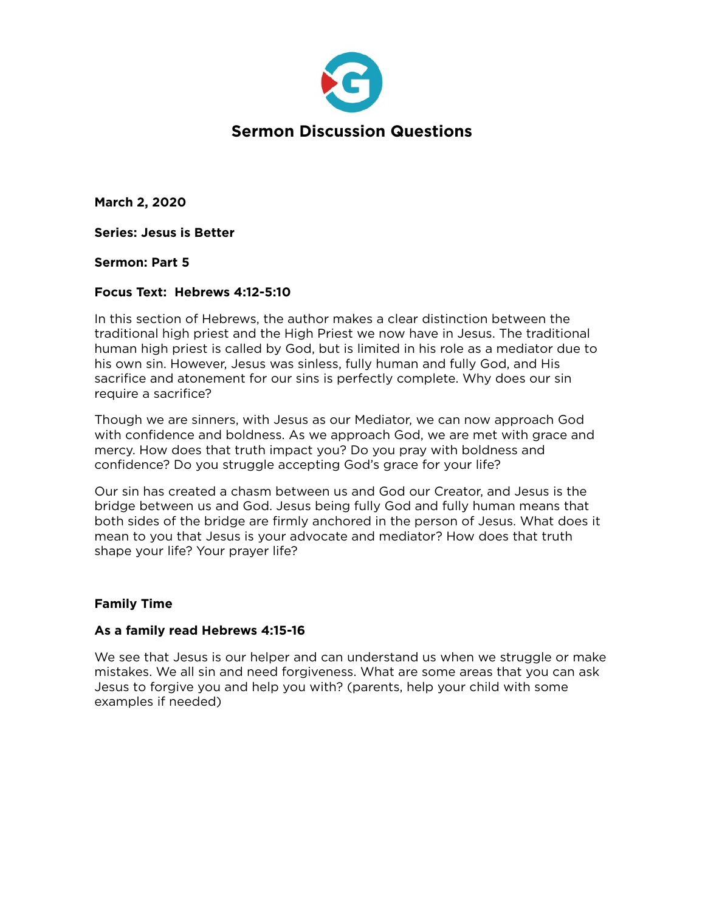

**March 2, 2020** 

**Series: Jesus is Better** 

## **Sermon: Part 5**

# **Focus Text: Hebrews 4:12-5:10**

In this section of Hebrews, the author makes a clear distinction between the traditional high priest and the High Priest we now have in Jesus. The traditional human high priest is called by God, but is limited in his role as a mediator due to his own sin. However, Jesus was sinless, fully human and fully God, and His sacrifice and atonement for our sins is perfectly complete. Why does our sin require a sacrifice?

Though we are sinners, with Jesus as our Mediator, we can now approach God with confidence and boldness. As we approach God, we are met with grace and mercy. How does that truth impact you? Do you pray with boldness and confidence? Do you struggle accepting God's grace for your life?

Our sin has created a chasm between us and God our Creator, and Jesus is the bridge between us and God. Jesus being fully God and fully human means that both sides of the bridge are firmly anchored in the person of Jesus. What does it mean to you that Jesus is your advocate and mediator? How does that truth shape your life? Your prayer life?

# **Family Time**

# **As a family read Hebrews 4:15-16**

We see that Jesus is our helper and can understand us when we struggle or make mistakes. We all sin and need forgiveness. What are some areas that you can ask Jesus to forgive you and help you with? (parents, help your child with some examples if needed)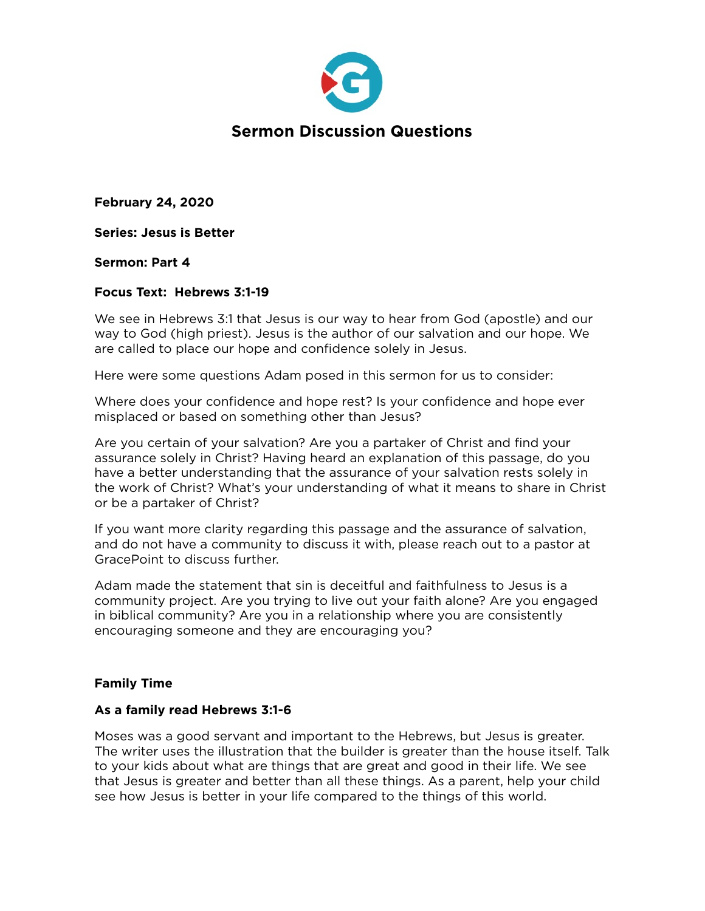

**February 24, 2020** 

**Series: Jesus is Better** 

## **Sermon: Part 4**

## **Focus Text: Hebrews 3:1-19**

We see in Hebrews 3:1 that Jesus is our way to hear from God (apostle) and our way to God (high priest). Jesus is the author of our salvation and our hope. We are called to place our hope and confidence solely in Jesus.

Here were some questions Adam posed in this sermon for us to consider:

Where does your confidence and hope rest? Is your confidence and hope ever misplaced or based on something other than Jesus?

Are you certain of your salvation? Are you a partaker of Christ and find your assurance solely in Christ? Having heard an explanation of this passage, do you have a better understanding that the assurance of your salvation rests solely in the work of Christ? What's your understanding of what it means to share in Christ or be a partaker of Christ?

If you want more clarity regarding this passage and the assurance of salvation, and do not have a community to discuss it with, please reach out to a pastor at GracePoint to discuss further.

Adam made the statement that sin is deceitful and faithfulness to Jesus is a community project. Are you trying to live out your faith alone? Are you engaged in biblical community? Are you in a relationship where you are consistently encouraging someone and they are encouraging you?

# **Family Time**

### **As a family read Hebrews 3:1-6**

Moses was a good servant and important to the Hebrews, but Jesus is greater. The writer uses the illustration that the builder is greater than the house itself. Talk to your kids about what are things that are great and good in their life. We see that Jesus is greater and better than all these things. As a parent, help your child see how Jesus is better in your life compared to the things of this world.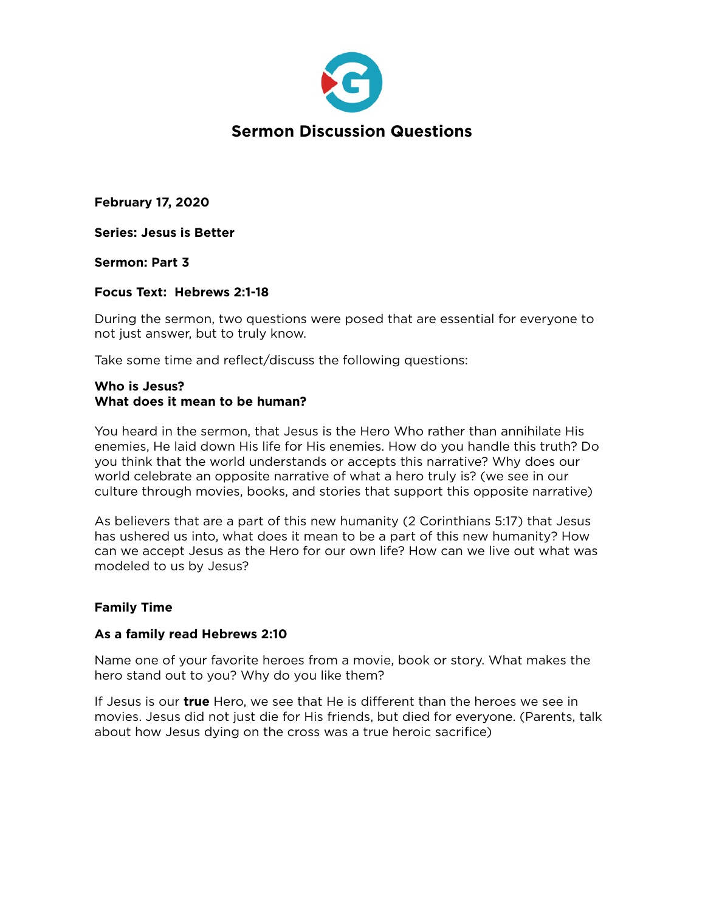

**February 17, 2020** 

**Series: Jesus is Better** 

## **Sermon: Part 3**

# **Focus Text: Hebrews 2:1-18**

During the sermon, two questions were posed that are essential for everyone to not just answer, but to truly know.

Take some time and reflect/discuss the following questions:

## **Who is Jesus? What does it mean to be human?**

You heard in the sermon, that Jesus is the Hero Who rather than annihilate His enemies, He laid down His life for His enemies. How do you handle this truth? Do you think that the world understands or accepts this narrative? Why does our world celebrate an opposite narrative of what a hero truly is? (we see in our culture through movies, books, and stories that support this opposite narrative)

As believers that are a part of this new humanity (2 Corinthians 5:17) that Jesus has ushered us into, what does it mean to be a part of this new humanity? How can we accept Jesus as the Hero for our own life? How can we live out what was modeled to us by Jesus?

# **Family Time**

# **As a family read Hebrews 2:10**

Name one of your favorite heroes from a movie, book or story. What makes the hero stand out to you? Why do you like them?

If Jesus is our **true** Hero, we see that He is different than the heroes we see in movies. Jesus did not just die for His friends, but died for everyone. (Parents, talk about how Jesus dying on the cross was a true heroic sacrifice)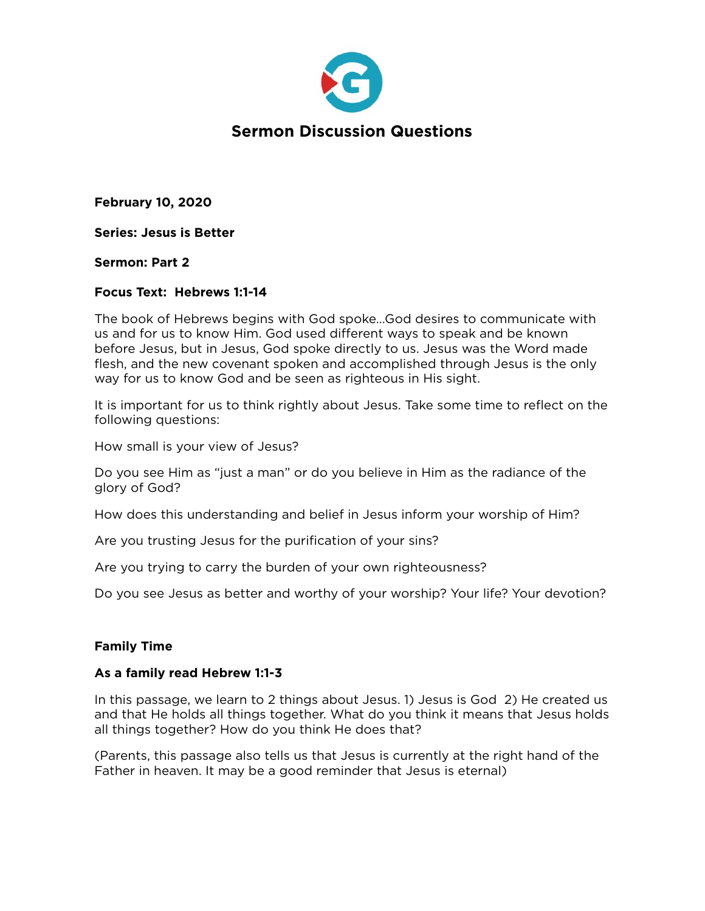

**February 10, 2020** 

**Series: Jesus is Better** 

## **Sermon: Part 2**

# **Focus Text: Hebrews 1:1-14**

The book of Hebrews begins with God spoke…God desires to communicate with us and for us to know Him. God used different ways to speak and be known before Jesus, but in Jesus, God spoke directly to us. Jesus was the Word made flesh, and the new covenant spoken and accomplished through Jesus is the only way for us to know God and be seen as righteous in His sight.

It is important for us to think rightly about Jesus. Take some time to reflect on the following questions:

How small is your view of Jesus?

Do you see Him as "just a man" or do you believe in Him as the radiance of the glory of God?

How does this understanding and belief in Jesus inform your worship of Him?

Are you trusting Jesus for the purification of your sins?

Are you trying to carry the burden of your own righteousness?

Do you see Jesus as better and worthy of your worship? Your life? Your devotion?

# **Family Time**

### **As a family read Hebrew 1:1-3**

In this passage, we learn to 2 things about Jesus. 1) Jesus is God 2) He created us and that He holds all things together. What do you think it means that Jesus holds all things together? How do you think He does that?

(Parents, this passage also tells us that Jesus is currently at the right hand of the Father in heaven. It may be a good reminder that Jesus is eternal)